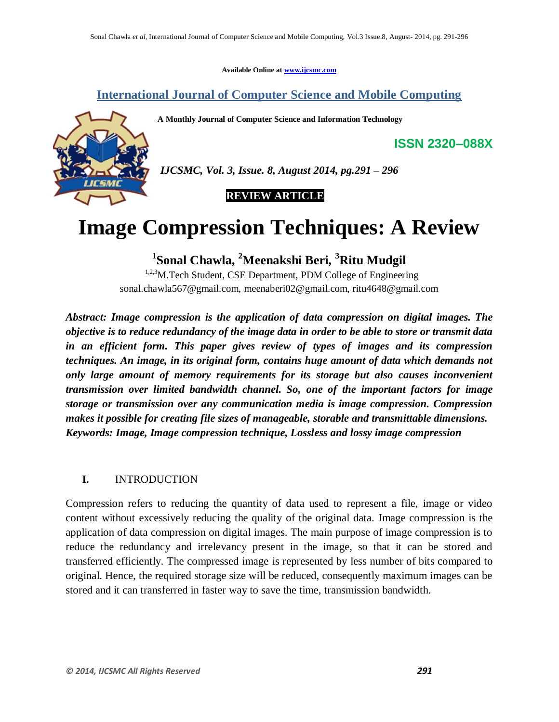**Available Online at www.ijcsmc.com**

## **International Journal of Computer Science and Mobile Computing**

**A Monthly Journal of Computer Science and Information Technology**



*IJCSMC, Vol. 3, Issue. 8, August 2014, pg.291 – 296*

 **REVIEW ARTICLE**

# **Image Compression Techniques: A Review**

**1 Sonal Chawla, <sup>2</sup>Meenakshi Beri, <sup>3</sup>Ritu Mudgil**

<sup>1,2,3</sup>M.Tech Student, CSE Department, PDM College of Engineering sonal.chawla567@gmail.com, meenaberi02@gmail.com, ritu4648@gmail.com

*Abstract: Image compression is the application of data compression on digital images. The objective is to reduce redundancy of the image data in order to be able to store or transmit data in an efficient form. This paper gives review of types of images and its compression techniques. An image, in its original form, contains huge amount of data which demands not only large amount of memory requirements for its storage but also causes inconvenient transmission over limited bandwidth channel. So, one of the important factors for image storage or transmission over any communication media is image compression. Compression makes it possible for creating file sizes of manageable, storable and transmittable dimensions. Keywords: Image, Image compression technique, Lossless and lossy image compression*

## **I.** INTRODUCTION

Compression refers to reducing the quantity of data used to represent a file, image or video content without excessively reducing the quality of the original data. Image compression is the application of data compression on digital images. The main purpose of image compression is to reduce the redundancy and irrelevancy present in the image, so that it can be stored and transferred efficiently. The compressed image is represented by less number of bits compared to original. Hence, the required storage size will be reduced, consequently maximum images can be stored and it can transferred in faster way to save the time, transmission bandwidth.

**ISSN 2320–088X**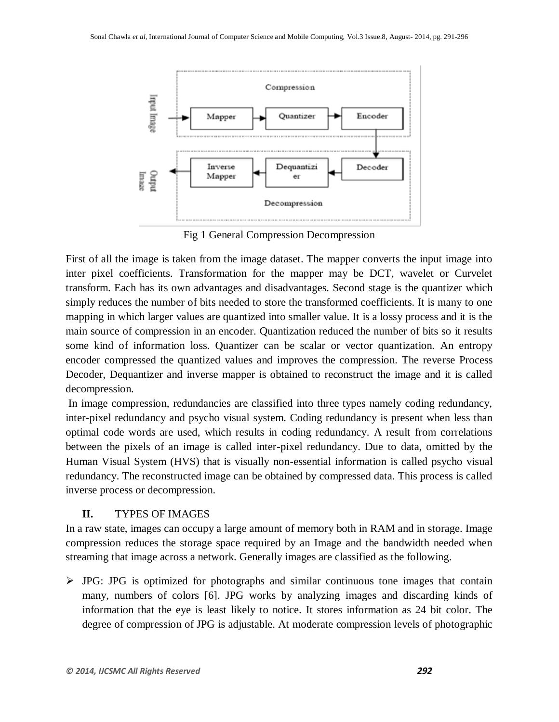

Fig 1 General Compression Decompression

First of all the image is taken from the image dataset. The mapper converts the input image into inter pixel coefficients. Transformation for the mapper may be DCT, wavelet or Curvelet transform. Each has its own advantages and disadvantages. Second stage is the quantizer which simply reduces the number of bits needed to store the transformed coefficients. It is many to one mapping in which larger values are quantized into smaller value. It is a lossy process and it is the main source of compression in an encoder. Quantization reduced the number of bits so it results some kind of information loss. Quantizer can be scalar or vector quantization. An entropy encoder compressed the quantized values and improves the compression. The reverse Process Decoder, Dequantizer and inverse mapper is obtained to reconstruct the image and it is called decompression.

In image compression, redundancies are classified into three types namely coding redundancy, inter-pixel redundancy and psycho visual system. Coding redundancy is present when less than optimal code words are used, which results in coding redundancy. A result from correlations between the pixels of an image is called inter-pixel redundancy. Due to data, omitted by the Human Visual System (HVS) that is visually non-essential information is called psycho visual redundancy. The reconstructed image can be obtained by compressed data. This process is called inverse process or decompression.

#### **II.** TYPES OF IMAGES

In a raw state, images can occupy a large amount of memory both in RAM and in storage. Image compression reduces the storage space required by an Image and the bandwidth needed when streaming that image across a network. Generally images are classified as the following.

 $\triangleright$  JPG: JPG is optimized for photographs and similar continuous tone images that contain many, numbers of colors [6]. JPG works by analyzing images and discarding kinds of information that the eye is least likely to notice. It stores information as 24 bit color. The degree of compression of JPG is adjustable. At moderate compression levels of photographic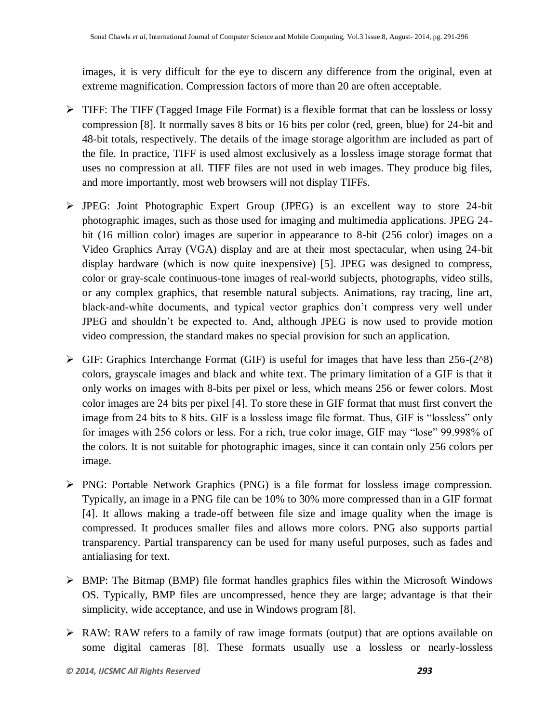images, it is very difficult for the eye to discern any difference from the original, even at extreme magnification. Compression factors of more than 20 are often acceptable.

- $\triangleright$  TIFF: The TIFF (Tagged Image File Format) is a flexible format that can be lossless or lossy compression [8]. It normally saves 8 bits or 16 bits per color (red, green, blue) for 24-bit and 48-bit totals, respectively. The details of the image storage algorithm are included as part of the file. In practice, TIFF is used almost exclusively as a lossless image storage format that uses no compression at all. TIFF files are not used in web images. They produce big files, and more importantly, most web browsers will not display TIFFs.
- JPEG: Joint Photographic Expert Group (JPEG) is an excellent way to store 24-bit photographic images, such as those used for imaging and multimedia applications. JPEG 24 bit (16 million color) images are superior in appearance to 8-bit (256 color) images on a Video Graphics Array (VGA) display and are at their most spectacular, when using 24-bit display hardware (which is now quite inexpensive) [5]. JPEG was designed to compress, color or gray-scale continuous-tone images of real-world subjects, photographs, video stills, or any complex graphics, that resemble natural subjects. Animations, ray tracing, line art, black-and-white documents, and typical vector graphics don't compress very well under JPEG and shouldn't be expected to. And, although JPEG is now used to provide motion video compression, the standard makes no special provision for such an application.
- $\triangleright$  GIF: Graphics Interchange Format (GIF) is useful for images that have less than 256-(2^8) colors, grayscale images and black and white text. The primary limitation of a GIF is that it only works on images with 8-bits per pixel or less, which means 256 or fewer colors. Most color images are 24 bits per pixel [4]. To store these in GIF format that must first convert the image from 24 bits to 8 bits. GIF is a lossless image file format. Thus, GIF is "lossless" only for images with 256 colors or less. For a rich, true color image, GIF may "lose" 99.998% of the colors. It is not suitable for photographic images, since it can contain only 256 colors per image.
- $\triangleright$  PNG: Portable Network Graphics (PNG) is a file format for lossless image compression. Typically, an image in a PNG file can be 10% to 30% more compressed than in a GIF format [4]. It allows making a trade-off between file size and image quality when the image is compressed. It produces smaller files and allows more colors. PNG also supports partial transparency. Partial transparency can be used for many useful purposes, such as fades and antialiasing for text.
- $\triangleright$  BMP: The Bitmap (BMP) file format handles graphics files within the Microsoft Windows OS. Typically, BMP files are uncompressed, hence they are large; advantage is that their simplicity, wide acceptance, and use in Windows program [8].
- RAW: RAW refers to a family of raw image formats (output) that are options available on some digital cameras [8]. These formats usually use a lossless or nearly-lossless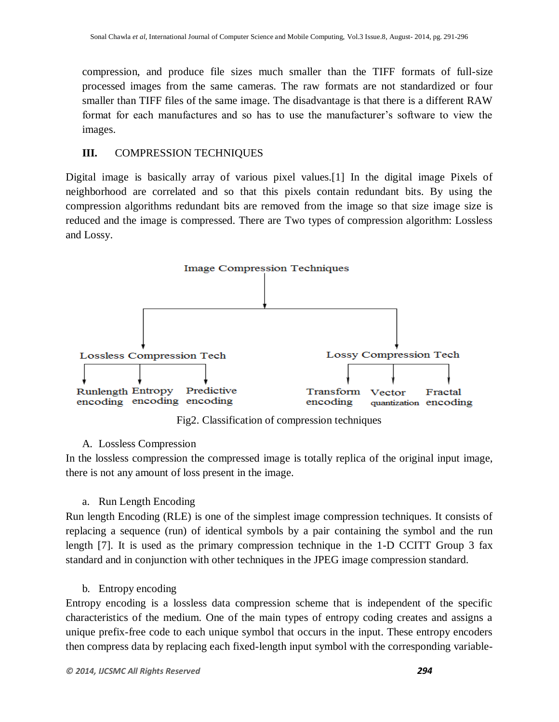compression, and produce file sizes much smaller than the TIFF formats of full-size processed images from the same cameras. The raw formats are not standardized or four smaller than TIFF files of the same image. The disadvantage is that there is a different RAW format for each manufactures and so has to use the manufacturer's software to view the images.

## **III.** COMPRESSION TECHNIQUES

Digital image is basically array of various pixel values.[1] In the digital image Pixels of neighborhood are correlated and so that this pixels contain redundant bits. By using the compression algorithms redundant bits are removed from the image so that size image size is reduced and the image is compressed. There are Two types of compression algorithm: Lossless and Lossy.



Fig2. Classification of compression techniques

#### A. Lossless Compression

In the lossless compression the compressed image is totally replica of the original input image, there is not any amount of loss present in the image.

a. Run Length Encoding

Run length Encoding (RLE) is one of the simplest image compression techniques. It consists of replacing a sequence (run) of identical symbols by a pair containing the symbol and the run length [7]. It is used as the primary compression technique in the 1-D CCITT Group 3 fax standard and in conjunction with other techniques in the JPEG image compression standard.

#### b. Entropy encoding

Entropy encoding is a lossless data compression scheme that is independent of the specific characteristics of the medium. One of the main types of entropy coding creates and assigns a unique prefix-free code to each unique symbol that occurs in the input. These entropy encoders then compress data by replacing each fixed-length input symbol with the corresponding variable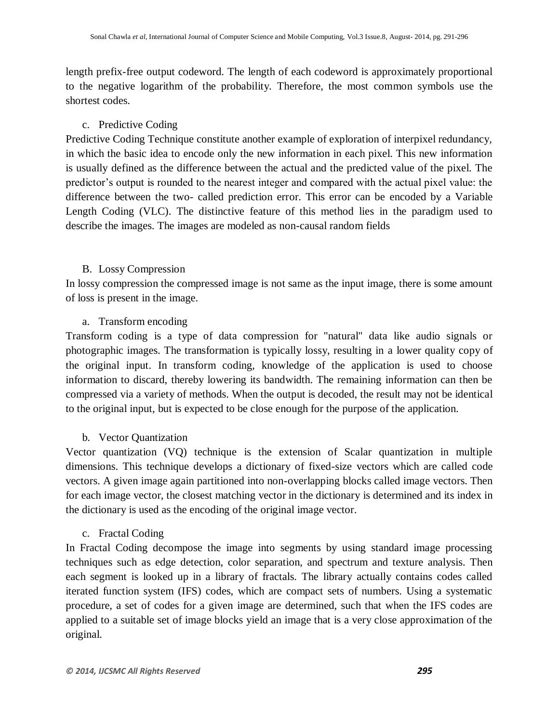length prefix-free output codeword. The length of each codeword is approximately proportional to the negative logarithm of the probability. Therefore, the most common symbols use the shortest codes.

## c. Predictive Coding

Predictive Coding Technique constitute another example of exploration of interpixel redundancy, in which the basic idea to encode only the new information in each pixel. This new information is usually defined as the difference between the actual and the predicted value of the pixel. The predictor's output is rounded to the nearest integer and compared with the actual pixel value: the difference between the two- called prediction error. This error can be encoded by a Variable Length Coding (VLC). The distinctive feature of this method lies in the paradigm used to describe the images. The images are modeled as non-causal random fields

## B. Lossy Compression

In lossy compression the compressed image is not same as the input image, there is some amount of loss is present in the image.

## a. Transform encoding

Transform coding is a type of data compression for "natural" data like audio signals or photographic images. The transformation is typically lossy, resulting in a lower quality copy of the original input. In transform coding, knowledge of the application is used to choose information to discard, thereby lowering its bandwidth. The remaining information can then be compressed via a variety of methods. When the output is decoded, the result may not be identical to the original input, but is expected to be close enough for the purpose of the application.

## b. Vector Quantization

Vector quantization (VQ) technique is the extension of Scalar quantization in multiple dimensions. This technique develops a dictionary of fixed-size vectors which are called code vectors. A given image again partitioned into non-overlapping blocks called image vectors. Then for each image vector, the closest matching vector in the dictionary is determined and its index in the dictionary is used as the encoding of the original image vector.

## c. Fractal Coding

In Fractal Coding decompose the image into segments by using standard image processing techniques such as edge detection, color separation, and spectrum and texture analysis. Then each segment is looked up in a library of fractals. The library actually contains codes called iterated function system (IFS) codes, which are compact sets of numbers. Using a systematic procedure, a set of codes for a given image are determined, such that when the IFS codes are applied to a suitable set of image blocks yield an image that is a very close approximation of the original.